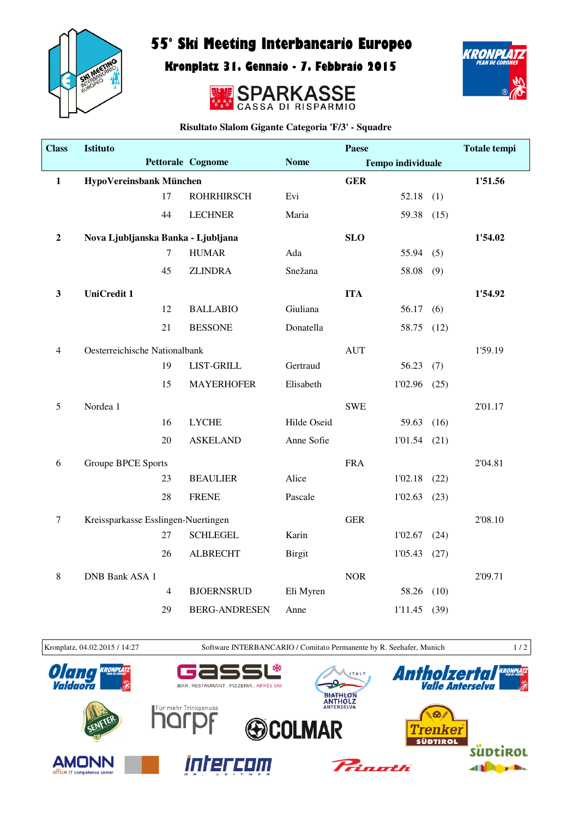

## 55° Ski Meeting Interbancario Europeo

Kronplatz 31. Gennaio - 7. Febbraio 2015





**Risultato Slalom Gigante Categoria 'F/3' - Squadre**

| <b>Class</b>     | <b>Istituto</b>                     |                |                      |               | Paese      |                          |      | <b>Totale tempi</b> |
|------------------|-------------------------------------|----------------|----------------------|---------------|------------|--------------------------|------|---------------------|
|                  |                                     |                | Pettorale Cognome    | <b>Nome</b>   |            | <b>Tempo individuale</b> |      |                     |
| $\mathbf{1}$     | HypoVereinsbank München             |                |                      |               | <b>GER</b> |                          |      | 1'51.56             |
|                  |                                     | 17             | <b>ROHRHIRSCH</b>    | Evi           |            | 52.18                    | (1)  |                     |
|                  |                                     | 44             | <b>LECHNER</b>       | Maria         |            | 59.38                    | (15) |                     |
| $\boldsymbol{2}$ | Nova Ljubljanska Banka - Ljubljana  |                |                      |               | <b>SLO</b> |                          |      | 1'54.02             |
|                  |                                     | $\overline{7}$ | <b>HUMAR</b>         | Ada           |            | 55.94                    | (5)  |                     |
|                  |                                     | 45             | <b>ZLINDRA</b>       | Snežana       |            | 58.08                    | (9)  |                     |
| $\mathbf{3}$     | <b>UniCredit 1</b>                  |                |                      |               | <b>ITA</b> |                          |      | 1'54.92             |
|                  |                                     | 12             | <b>BALLABIO</b>      | Giuliana      |            | 56.17                    | (6)  |                     |
|                  |                                     | 21             | <b>BESSONE</b>       | Donatella     |            | 58.75                    | (12) |                     |
| $\overline{4}$   | Oesterreichische Nationalbank       |                |                      |               | <b>AUT</b> |                          |      | 1'59.19             |
|                  |                                     | 19             | LIST-GRILL           | Gertraud      |            | 56.23                    | (7)  |                     |
|                  |                                     | 15             | <b>MAYERHOFER</b>    | Elisabeth     |            | 1'02.96                  | (25) |                     |
| 5                | Nordea 1                            |                |                      |               | <b>SWE</b> |                          |      | 2'01.17             |
|                  |                                     | 16             | <b>LYCHE</b>         | Hilde Oseid   |            | 59.63                    | (16) |                     |
|                  |                                     | 20             | <b>ASKELAND</b>      | Anne Sofie    |            | 1'01.54                  | (21) |                     |
| 6                | <b>Groupe BPCE Sports</b>           |                |                      |               | <b>FRA</b> |                          |      | 2'04.81             |
|                  |                                     | 23             | <b>BEAULIER</b>      | Alice         |            | 1'02.18                  | (22) |                     |
|                  |                                     | 28             | <b>FRENE</b>         | Pascale       |            | 1'02.63                  | (23) |                     |
| $\tau$           | Kreissparkasse Esslingen-Nuertingen |                |                      |               | <b>GER</b> |                          |      | 2'08.10             |
|                  |                                     | 27             | <b>SCHLEGEL</b>      | Karin         |            | 1'02.67                  | (24) |                     |
|                  |                                     | 26             | <b>ALBRECHT</b>      | <b>Birgit</b> |            | 1'05.43                  | (27) |                     |
| 8                | <b>DNB Bank ASA 1</b>               |                |                      |               | <b>NOR</b> |                          |      | 2'09.71             |
|                  |                                     | $\overline{4}$ | <b>BJOERNSRUD</b>    | Eli Myren     |            | 58.26                    | (10) |                     |
|                  |                                     | 29             | <b>BERG-ANDRESEN</b> | Anne          |            | 1'11.45                  | (39) |                     |